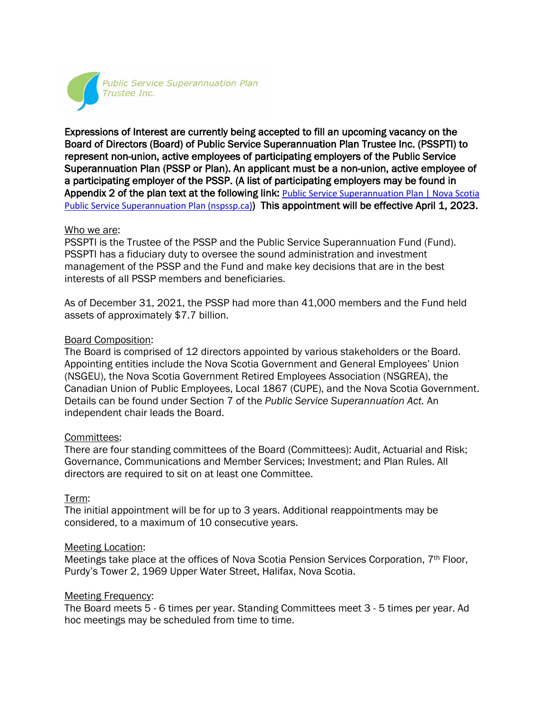

Expressions of Interest are currently being accepted to fill an upcoming vacancy on the Board of Directors (Board) of Public Service Superannuation Plan Trustee Inc. (PSSPTI) to represent non-union, active employees of participating employers of the Public Service Superannuation Plan (PSSP or Plan). An applicant must be a non-union, active employee of a participating employer of the PSSP. (A list of participating employers may be found in Appendix 2 of the plan text at the following link: Public Service Superannuation Plan | Nova Scotia [Public Service Superannuation Plan \(nspssp.ca\)](https://www.nspssp.ca/about/public-service-superannuation-plan)) This appointment will be effective April 1, 2023.

### Who we are:

PSSPTI is the Trustee of the PSSP and the Public Service Superannuation Fund (Fund). PSSPTI has a fiduciary duty to oversee the sound administration and investment management of the PSSP and the Fund and make key decisions that are in the best interests of all PSSP members and beneficiaries.

As of December 31, 2021, the PSSP had more than 41,000 members and the Fund held assets of approximately \$7.7 billion.

## Board Composition:

The Board is comprised of 12 directors appointed by various stakeholders or the Board. Appointing entities include the Nova Scotia Government and General Employees' Union (NSGEU), the Nova Scotia Government Retired Employees Association (NSGREA), the Canadian Union of Public Employees, Local 1867 (CUPE), and the Nova Scotia Government. Details can be found under Section 7 of the *Public Service Superannuation Act.* An independent chair leads the Board.

## Committees:

There are four standing committees of the Board (Committees): Audit, Actuarial and Risk; Governance, Communications and Member Services; Investment; and Plan Rules. All directors are required to sit on at least one Committee.

## Term:

The initial appointment will be for up to 3 years. Additional reappointments may be considered, to a maximum of 10 consecutive years.

#### Meeting Location:

Meetings take place at the offices of Nova Scotia Pension Services Corporation, 7th Floor, Purdy's Tower 2, 1969 Upper Water Street, Halifax, Nova Scotia.

## Meeting Frequency:

The Board meets 5 - 6 times per year. Standing Committees meet 3 - 5 times per year. Ad hoc meetings may be scheduled from time to time.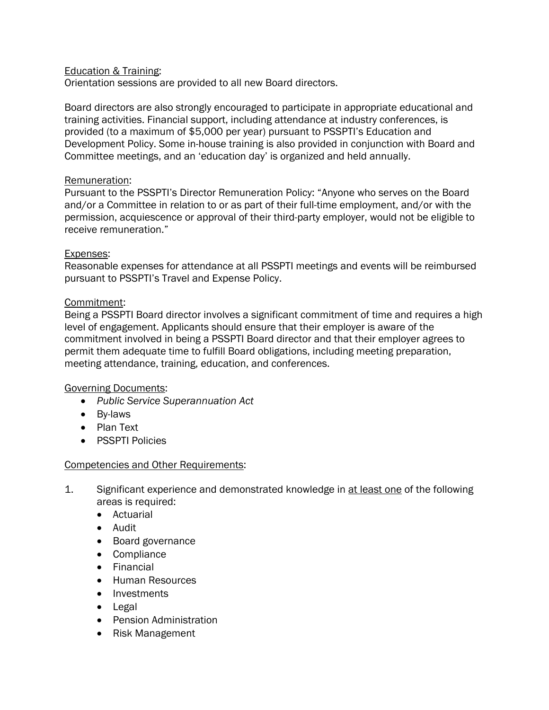# Education & Training:

Orientation sessions are provided to all new Board directors.

Board directors are also strongly encouraged to participate in appropriate educational and training activities. Financial support, including attendance at industry conferences, is provided (to a maximum of \$5,000 per year) pursuant to PSSPTI's Education and Development Policy. Some in-house training is also provided in conjunction with Board and Committee meetings, and an 'education day' is organized and held annually.

## Remuneration:

Pursuant to the PSSPTI's Director Remuneration Policy: "Anyone who serves on the Board and/or a Committee in relation to or as part of their full-time employment, and/or with the permission, acquiescence or approval of their third-party employer, would not be eligible to receive remuneration."

## Expenses:

Reasonable expenses for attendance at all PSSPTI meetings and events will be reimbursed pursuant to PSSPTI's Travel and Expense Policy.

## Commitment:

Being a PSSPTI Board director involves a significant commitment of time and requires a high level of engagement. Applicants should ensure that their employer is aware of the commitment involved in being a PSSPTI Board director and that their employer agrees to permit them adequate time to fulfill Board obligations, including meeting preparation, meeting attendance, training, education, and conferences.

## Governing Documents:

- *Public Service Superannuation Act*
- By-laws
- Plan Text
- PSSPTI Policies

## Competencies and Other Requirements:

- 1. Significant experience and demonstrated knowledge in at least one of the following areas is required:
	- Actuarial
	- Audit
	- Board governance
	- Compliance
	- Financial
	- Human Resources
	- Investments
	- Legal
	- Pension Administration
	- Risk Management